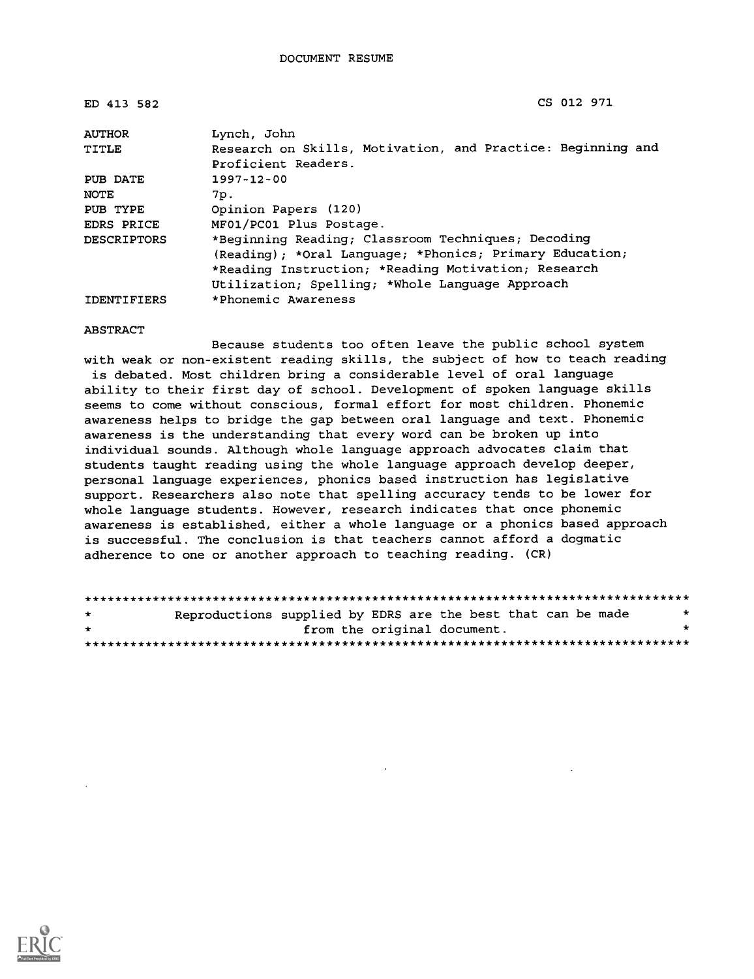| ED 413 582         | CS 012 971                                                  |  |  |  |
|--------------------|-------------------------------------------------------------|--|--|--|
| <b>AUTHOR</b>      | Lynch, John                                                 |  |  |  |
| TITLE              | Research on Skills, Motivation, and Practice: Beginning and |  |  |  |
|                    | Proficient Readers.                                         |  |  |  |
| PUB DATE           | $1997 - 12 - 00$                                            |  |  |  |
| NOTE               | 7p.                                                         |  |  |  |
| PUB TYPE           | Opinion Papers (120)                                        |  |  |  |
| EDRS PRICE         | MF01/PC01 Plus Postage.                                     |  |  |  |
| DESCRIPTORS        | *Beginning Reading; Classroom Techniques; Decoding          |  |  |  |
|                    | (Reading); *Oral Language; *Phonics; Primary Education;     |  |  |  |
|                    | *Reading Instruction; *Reading Motivation; Research         |  |  |  |
|                    | Utilization; Spelling; *Whole Language Approach             |  |  |  |
| <b>IDENTIFIERS</b> | *Phonemic Awareness                                         |  |  |  |

#### ABSTRACT

Because students too often leave the public school system with weak or non-existent reading skills, the subject of how to teach reading is debated. Most children bring a considerable level of oral language ability to their first day of school. Development of spoken language skills seems to come without conscious, formal effort for most children. Phonemic awareness helps to bridge the gap between oral language and text. Phonemic awareness is the understanding that every word can be broken up into individual sounds. Although whole language approach advocates claim that students taught reading using the whole language approach develop deeper, personal language experiences, phonics based instruction has legislative support. Researchers also note that spelling accuracy tends to be lower for whole language students. However, research indicates that once phonemic awareness is established, either a whole language or a phonics based approach is successful. The conclusion is that teachers cannot afford a dogmatic adherence to one or another approach to teaching reading. (CR)

| $\star$ | Reproductions supplied by EDRS are the best that can be made |                             |  |  | $\star$ |  |
|---------|--------------------------------------------------------------|-----------------------------|--|--|---------|--|
| $\star$ |                                                              | from the original document. |  |  | ÷       |  |
|         |                                                              |                             |  |  |         |  |

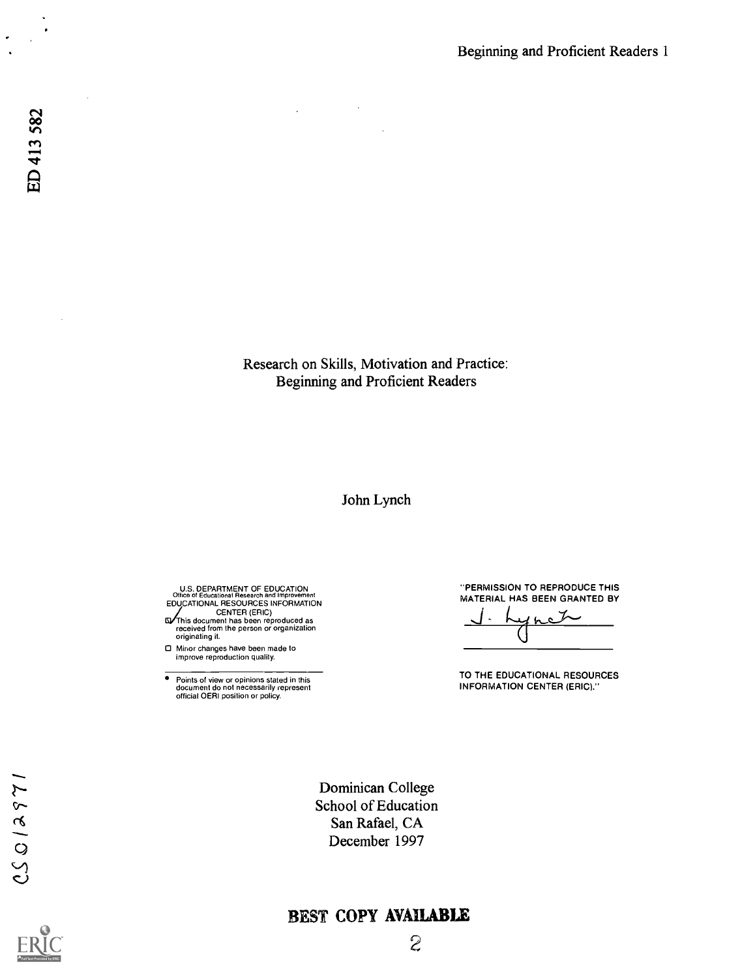Research on Skills, Motivation and Practice: Beginning and Proficient Readers

 $\mathcal{L}$ 

#### John Lynch

U.S. DEPARTMENT OF EDUCATION<br>
CHICE of Educational Research and Improvement<br>
EDUCATIONAL RESOURCES INFORMATION<br>
CENTER (ERIC)<br>
CENTER (ERIC)<br>
Crise document has been reproduced as<br>
originating it.<br>
originating it.

Minor changes have been made to improve reproduction quality.

 $\bullet$ Points of view or opinions stated in this document do not necessarily represent official OERI position or policy. "PERMISSION TO REPRODUCE THIS MATERIAL HAS BEEN GRANTED BY

 $\bullet$  $\cup$ 

TO THE EDUCATIONAL RESOURCES INFORMATION CENTER (ERIC)."

Dominican College School of Education San Rafael, CA December 1997

## BEST COPY AVAILABLE



 $\hat{\boldsymbol{\beta}}$ 

 $\ddot{\phantom{0}}$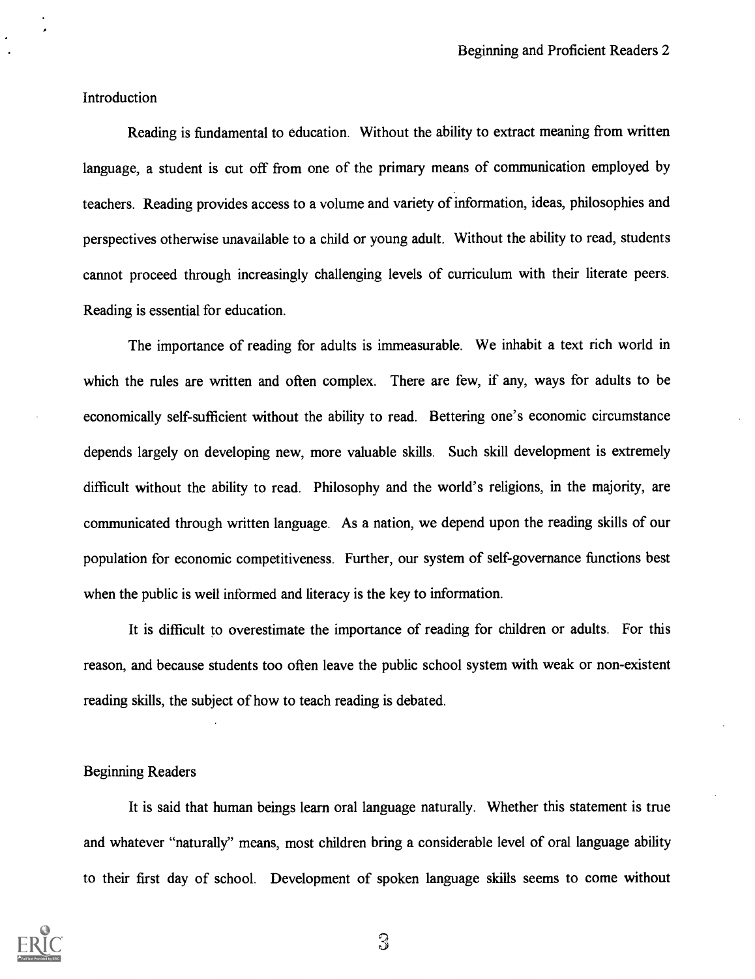Introduction

Reading is fundamental to education. Without the ability to extract meaning from written language, a student is cut off from one of the primary means of communication employed by teachers. Reading provides access to a volume and variety of information, ideas, philosophies and perspectives otherwise unavailable to a child or young adult. Without the ability to read, students cannot proceed through increasingly challenging levels of curriculum with their literate peers. Reading is essential for education.

The importance of reading for adults is immeasurable. We inhabit a text rich world in which the rules are written and often complex. There are few, if any, ways for adults to be economically self-sufficient without the ability to read. Bettering one's economic circumstance depends largely on developing new, more valuable skills. Such skill development is extremely difficult without the ability to read. Philosophy and the world's religions, in the majority, are communicated through written language. As a nation, we depend upon the reading skills of our population for economic competitiveness. Further, our system of self-governance functions best when the public is well informed and literacy is the key to information.

It is difficult to overestimate the importance of reading for children or adults. For this reason, and because students too often leave the public school system with weak or non-existent reading skills, the subject of how to teach reading is debated.

#### Beginning Readers

It is said that human beings learn oral language naturally. Whether this statement is true and whatever "naturally" means, most children bring a considerable level of oral language ability to their first day of school. Development of spoken language skills seems to come without

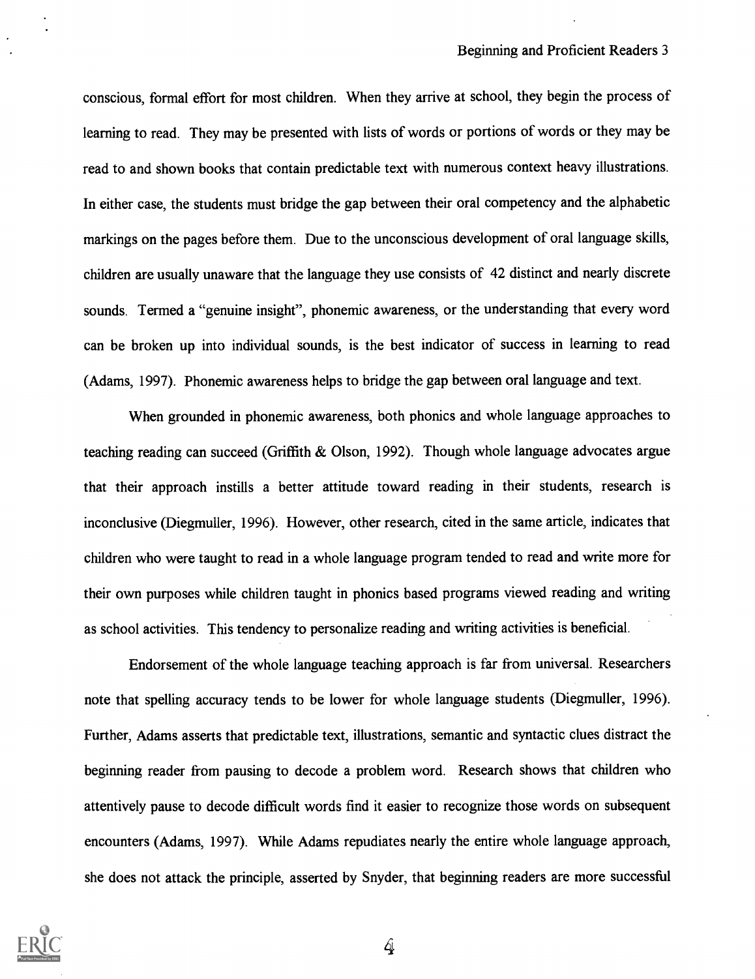conscious, formal effort for most children. When they arrive at school, they begin the process of learning to read. They may be presented with lists of words or portions of words or they may be read to and shown books that contain predictable text with numerous context heavy illustrations. In either case, the students must bridge the gap between their oral competency and the alphabetic markings on the pages before them. Due to the unconscious development of oral language skills, children are usually unaware that the language they use consists of 42 distinct and nearly discrete sounds. Termed a "genuine insight", phonemic awareness, or the understanding that every word can be broken up into individual sounds, is the best indicator of success in learning to read (Adams, 1997). Phonemic awareness helps to bridge the gap between oral language and text.

When grounded in phonemic awareness, both phonics and whole language approaches to teaching reading can succeed (Griffith & Olson, 1992). Though whole language advocates argue that their approach instills a better attitude toward reading in their students, research is inconclusive (Diegmuller, 1996). However, other research, cited in the same article, indicates that children who were taught to read in a whole language program tended to read and write more for their own purposes while children taught in phonics based programs viewed reading and writing as school activities. This tendency to personalize reading and writing activities is beneficial.

Endorsement of the whole language teaching approach is far from universal. Researchers note that spelling accuracy tends to be lower for whole language students (Diegmuller, 1996). Further, Adams asserts that predictable text, illustrations, semantic and syntactic clues distract the beginning reader from pausing to decode a problem word. Research shows that children who attentively pause to decode difficult words find it easier to recognize those words on subsequent encounters (Adams, 1997). While Adams repudiates nearly the entire whole language approach, she does not attack the principle, asserted by Snyder, that beginning readers are more successful

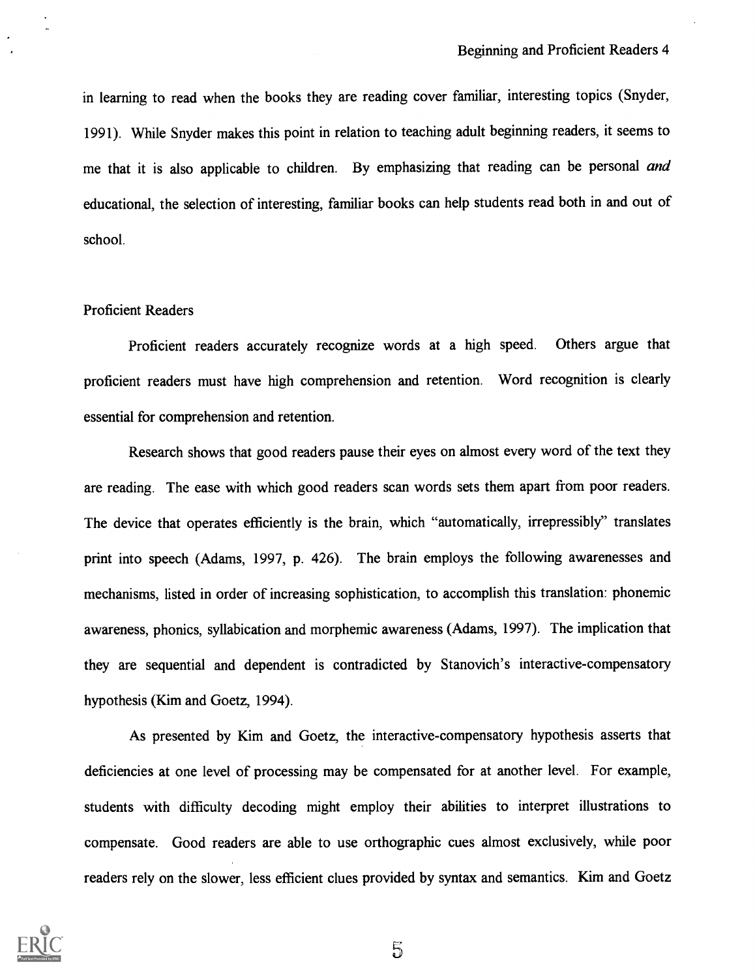in learning to read when the books they are reading cover familiar, interesting topics (Snyder, 1991). While Snyder makes this point in relation to teaching adult beginning readers, it seems to me that it is also applicable to children. By emphasizing that reading can be personal and educational, the selection of interesting, familiar books can help students read both in and out of school.

#### Proficient Readers

Proficient readers accurately recognize words at a high speed. Others argue that proficient readers must have high comprehension and retention. Word recognition is clearly essential for comprehension and retention.

Research shows that good readers pause their eyes on almost every word of the text they are reading. The ease with which good readers scan words sets them apart from poor readers. The device that operates efficiently is the brain, which "automatically, irrepressibly" translates print into speech (Adams, 1997, p. 426). The brain employs the following awarenesses and mechanisms, listed in order of increasing sophistication, to accomplish this translation: phonemic awareness, phonics, syllabication and morphemic awareness (Adams, 1997). The implication that they are sequential and dependent is contradicted by Stanovich's interactive-compensatory hypothesis (Kim and Goetz, 1994).

As presented by Kim and Goetz, the interactive-compensatory hypothesis asserts that deficiencies at one level of processing may be compensated for at another level. For example, students with difficulty decoding might employ their abilities to interpret illustrations to compensate. Good readers are able to use orthographic cues almost exclusively, while poor readers rely on the slower, less efficient clues provided by syntax and semantics. Kim and Goetz

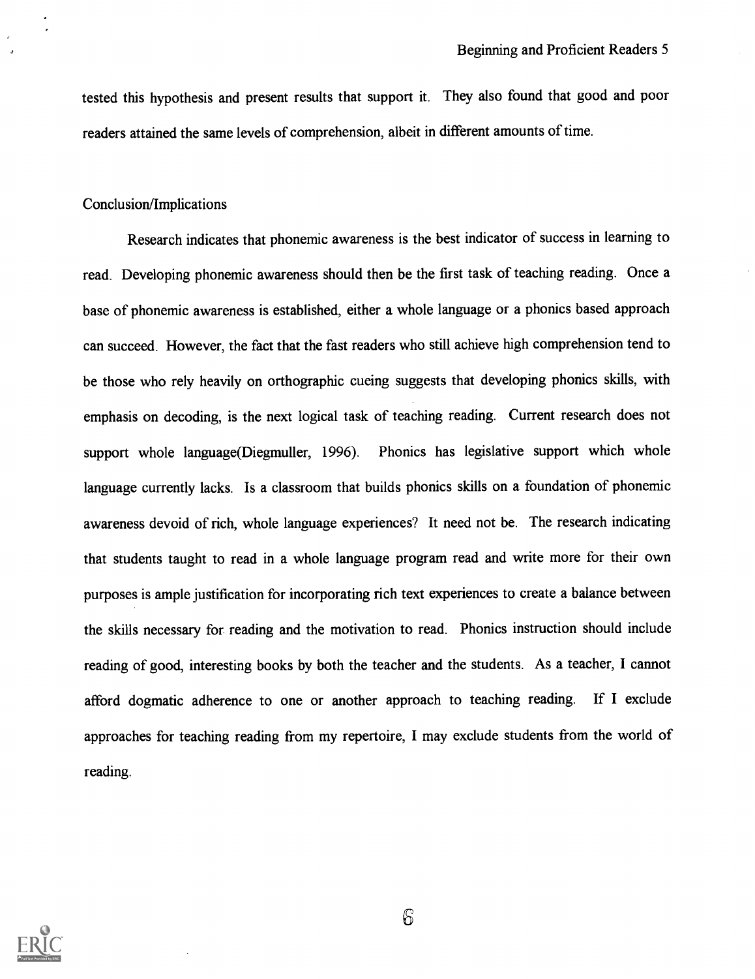tested this hypothesis and present results that support it. They also found that good and poor readers attained the same levels of comprehension, albeit in different amounts of time.

#### Conclusion/Implications

Research indicates that phonemic awareness is the best indicator of success in learning to read. Developing phonemic awareness should then be the first task of teaching reading. Once a base of phonemic awareness is established, either a whole language or a phonics based approach can succeed. However, the fact that the fast readers who still achieve high comprehension tend to be those who rely heavily on orthographic cueing suggests that developing phonics skills, with emphasis on decoding, is the next logical task of teaching reading. Current research does not support whole language(Diegmuller, 1996). Phonics has legislative support which whole language currently lacks. Is a classroom that builds phonics skills on a foundation of phonemic awareness devoid of rich, whole language experiences? It need not be. The research indicating that students taught to read in a whole language program read and write more for their own purposes is ample justification for incorporating rich text experiences to create a balance between the skills necessary for reading and the motivation to read. Phonics instruction should include reading of good, interesting books by both the teacher and the students. As a teacher, I cannot afford dogmatic adherence to one or another approach to teaching reading. If I exclude approaches for teaching reading from my repertoire, I may exclude students from the world of reading.

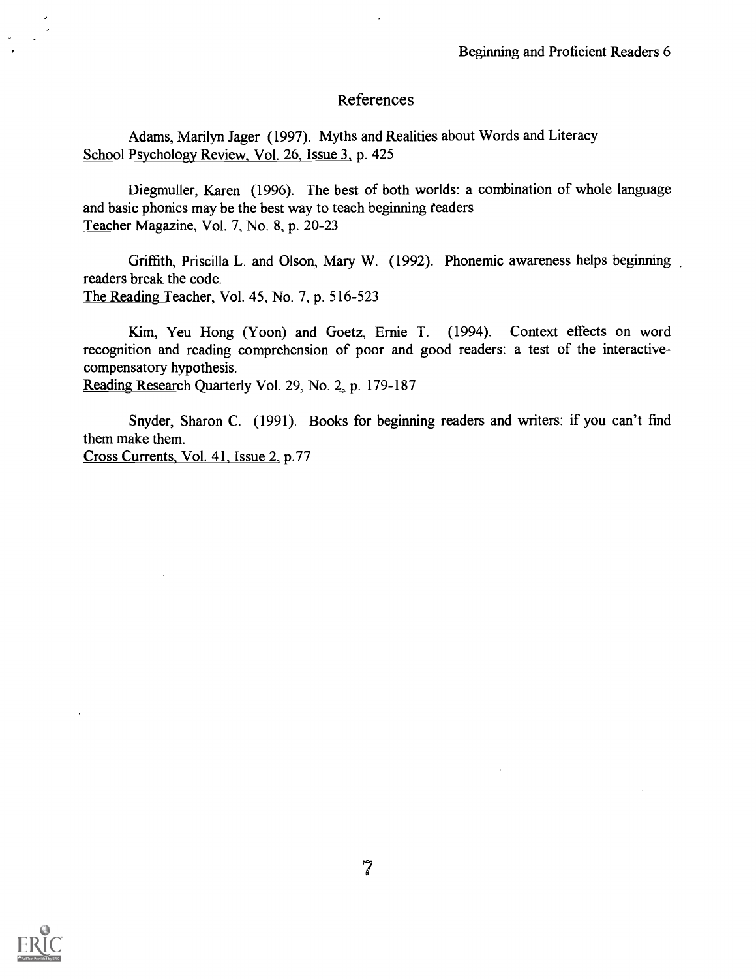#### References

Adams, Marilyn Jager (1997). Myths and Realities about Words and Literacy School Psychology Review, Vol. 26, Issue 3, p. 425

Diegmuller, Karen (1996). The best of both worlds: a combination of whole language and basic phonics may be the best way to teach beginning readers Teacher Magazine, Vol. 7, No. 8, p. 20-23

Griffith, Priscilla L. and Olson, Mary W. (1992). Phonemic awareness helps beginning readers break the code. The Reading Teacher, Vol. 45, No. 7, p. 516-523

Kim, Yeu Hong (Yoon) and Goetz, Ernie T. (1994). Context effects on word recognition and reading comprehension of poor and good readers: a test of the interactivecompensatory hypothesis. Reading Research Quarterly Vol. 29, No. 2, p. 179-187

Snyder, Sharon C. (1991). Books for beginning readers and writers: if you can't find them make them. Cross Currents, Vol. 41, Issue 2, p.77

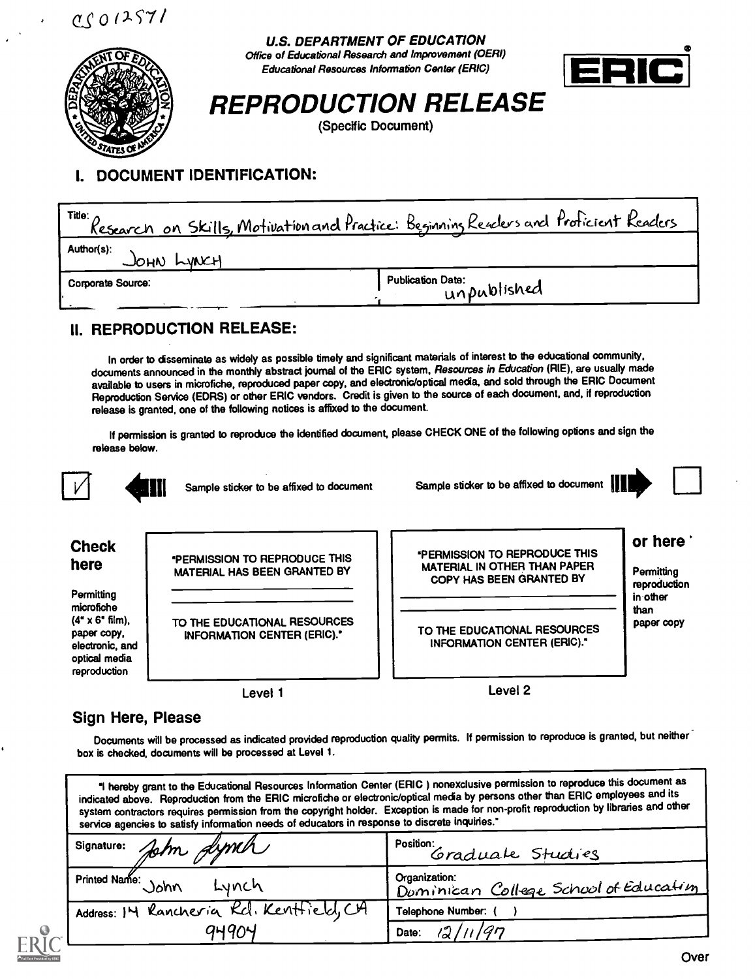U.S. DEPARTMENT OF EDUCATION Office of Educational Research and Improvement (OEM) Educational Resources Information Center (ERIC)





# REPRODUCTION RELEASE

(Specific Document)

### I. DOCUMENT IDENTIFICATION:

| Title: $\Lambda$                  | <u>Research on Skills, Motivation and Practice:</u> Beginning Readers and Proficient Readers |
|-----------------------------------|----------------------------------------------------------------------------------------------|
| Author(s):<br>$J_{OHN}$ $L_{WNL}$ |                                                                                              |
| Corporate Source:                 | <b>Publication Date:</b><br>unpublished                                                      |

### II. REPRODUCTION RELEASE:

In order to disseminate as widely as possible timely and significant materials of interest to the educational community, documents announced in the monthly abstract journal of the ERIC system, Resources in Education (RIE), are usually made available to users in microfiche, reproduced paper copy, and electronic/optical media, and sold through the ERIC Document Reproduction Service (EDRS) or other ERIC vendors. Credit is given to the source of each document, and, if reproduction release is granted, one of the following notices is affixed to the document.

If permission is granted to reproduce the identified document, please CHECK ONE of the following options and sign the release below.



Sample sticker to be affixed to document

Sample sticker to be affixed to document



### Check here

**Permitting** microfiche  $(4" \times 6"$  film), paper copy. electronic, and optical media reproduction

PERMISSION TO REPRODUCE THIS MATERIAL HAS BEEN GRANTED BY

TO THE EDUCATIONAL RESOURCES INFORMATION CENTER (ERIC)."

Level 1

PERMISSION TO REPRODUCE THIS MATERIAL IN OTHER THAN PAPER COPY HAS BEEN GRANTED BY

or here **Permitting** 

reproduction in other than Paper copy

TO THE EDUCATIONAL RESOURCES INFORMATION CENTER (ERIC)."

Level 2

#### Sign Here, Please

Documents will be processed as indicated provided reproduction quality permits. If permission to reproduce is granted, but neither box is checked, documents will be processed at Level 1.

1 hereby grant to the Educational Resources Information Center (ERIC ) nonexclusive permission to reproduce this document as indicated above. Reproduction from the ERIC microfiche or electronic/optical media by persons other than ERIC employees and its system contractors requires permission from the copyright holder. Exception is made for non-profit reproduction by libraries and other service agencies to satisfy information needs of educators in response to discrete inquiries."

| signature: John Jymch                    | Position:<br>Graduate Studies                          |
|------------------------------------------|--------------------------------------------------------|
| Printed Name:<br>John<br>Lynch           | Organization:<br>Dominican College School of Education |
| Address: IM Rancheria Kcl. Kentfield, CA | <b>Telephone Number:</b>                               |
| 94904                                    | 12/11/97<br>Date:                                      |